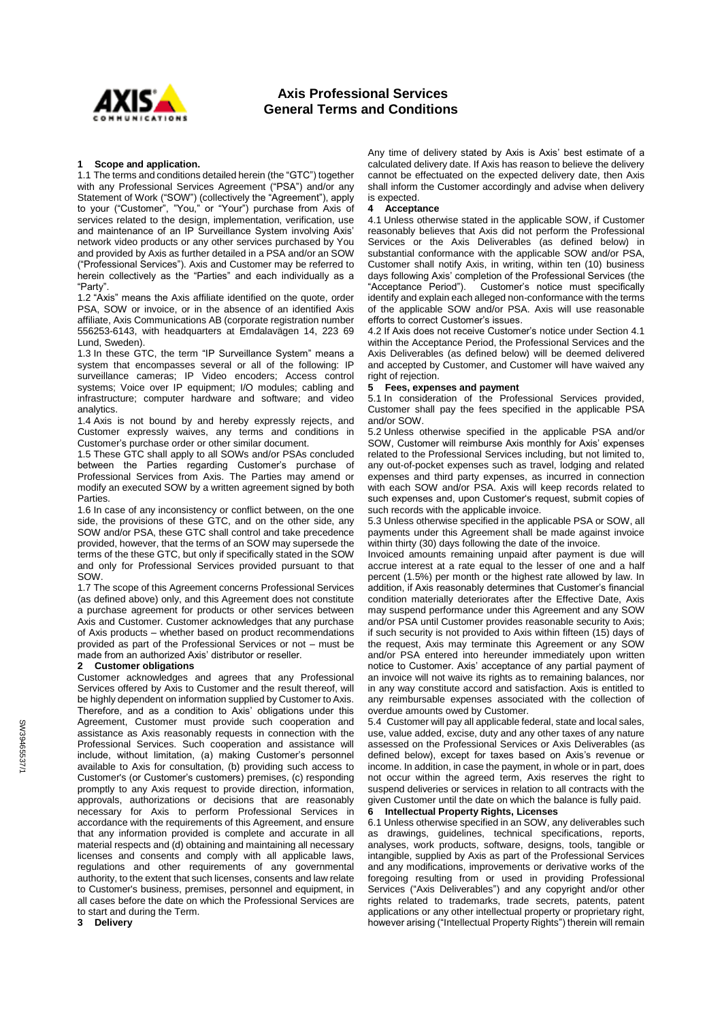

# **Axis Professional Services General Terms and Conditions**

## **1 Scope and application.**

1.1 The terms and conditions detailed herein (the "GTC") together with any Professional Services Agreement ("PSA") and/or any Statement of Work ("SOW") (collectively the "Agreement"), apply to your ("Customer", "You," or "Your") purchase from Axis of services related to the design, implementation, verification, use and maintenance of an IP Surveillance System involving Axis' network video products or any other services purchased by You and provided by Axis as further detailed in a PSA and/or an SOW ("Professional Services"). Axis and Customer may be referred to herein collectively as the "Parties" and each individually as a "Party".

1.2 "Axis" means the Axis affiliate identified on the quote, order PSA, SOW or invoice, or in the absence of an identified Axis affiliate, Axis Communications AB (corporate registration number 556253-6143, with headquarters at Emdalavägen 14, 223 69 Lund, Sweden).

1.3 In these GTC, the term "IP Surveillance System" means a system that encompasses several or all of the following: IP surveillance cameras; IP Video encoders; Access control systems; Voice over IP equipment; I/O modules; cabling and infrastructure; computer hardware and software; and video analytics.

1.4 Axis is not bound by and hereby expressly rejects, and Customer expressly waives, any terms and conditions in Customer's purchase order or other similar document.

1.5 These GTC shall apply to all SOWs and/or PSAs concluded between the Parties regarding Customer's purchase of Professional Services from Axis. The Parties may amend or modify an executed SOW by a written agreement signed by both Parties.

1.6 In case of any inconsistency or conflict between, on the one side, the provisions of these GTC, and on the other side, any SOW and/or PSA, these GTC shall control and take precedence provided, however, that the terms of an SOW may supersede the terms of the these GTC, but only if specifically stated in the SOW and only for Professional Services provided pursuant to that SOW.

1.7 The scope of this Agreement concerns Professional Services (as defined above) only, and this Agreement does not constitute a purchase agreement for products or other services between Axis and Customer. Customer acknowledges that any purchase of Axis products – whether based on product recommendations provided as part of the Professional Services or not – must be made from an authorized Axis' distributor or reseller.

# **2 Customer obligations**

Customer acknowledges and agrees that any Professional Services offered by Axis to Customer and the result thereof, will be highly dependent on information supplied by Customer to Axis. Therefore, and as a condition to Axis' obligations under this Agreement, Customer must provide such cooperation and assistance as Axis reasonably requests in connection with the Professional Services. Such cooperation and assistance will include, without limitation, (a) making Customer's personnel available to Axis for consultation, (b) providing such access to Customer's (or Customer's customers) premises, (c) responding promptly to any Axis request to provide direction, information, approvals, authorizations or decisions that are reasonably necessary for Axis to perform Professional Services in accordance with the requirements of this Agreement, and ensure that any information provided is complete and accurate in all material respects and (d) obtaining and maintaining all necessary licenses and consents and comply with all applicable laws, regulations and other requirements of any governmental authority, to the extent that such licenses, consents and law relate to Customer's business, premises, personnel and equipment, in all cases before the date on which the Professional Services are to start and during the Term.

**3 Delivery**

Any time of delivery stated by Axis is Axis' best estimate of a calculated delivery date. If Axis has reason to believe the delivery cannot be effectuated on the expected delivery date, then Axis shall inform the Customer accordingly and advise when delivery is expected.

#### **4 Acceptance**

<span id="page-0-0"></span>4.1 Unless otherwise stated in the applicable SOW, if Customer reasonably believes that Axis did not perform the Professional Services or the Axis Deliverables (as defined below) in substantial conformance with the applicable SOW and/or PSA, Customer shall notify Axis, in writing, within ten (10) business days following Axis' completion of the Professional Services (the "Acceptance Period"). Customer's notice must specifically Customer's notice must specifically identify and explain each alleged non-conformance with the terms of the applicable SOW and/or PSA. Axis will use reasonable efforts to correct Customer's issues.

4.2 If Axis does not receive Customer's notice under Sectio[n 4.1](#page-0-0) within the Acceptance Period, the Professional Services and the Axis Deliverables (as defined below) will be deemed delivered and accepted by Customer, and Customer will have waived any right of rejection.

### **5 Fees, expenses and payment**

5.1 In consideration of the Professional Services provided, Customer shall pay the fees specified in the applicable PSA and/or SOW.

5.2 Unless otherwise specified in the applicable PSA and/or SOW, Customer will reimburse Axis monthly for Axis' expenses related to the Professional Services including, but not limited to, any out-of-pocket expenses such as travel, lodging and related expenses and third party expenses, as incurred in connection with each SOW and/or PSA. Axis will keep records related to such expenses and, upon Customer's request, submit copies of such records with the applicable invoice.

5.3 Unless otherwise specified in the applicable PSA or SOW, all payments under this Agreement shall be made against invoice within thirty (30) days following the date of the invoice.

Invoiced amounts remaining unpaid after payment is due will accrue interest at a rate equal to the lesser of one and a half percent (1.5%) per month or the highest rate allowed by law. In addition, if Axis reasonably determines that Customer's financial condition materially deteriorates after the Effective Date, Axis may suspend performance under this Agreement and any SOW and/or PSA until Customer provides reasonable security to Axis; if such security is not provided to Axis within fifteen (15) days of the request, Axis may terminate this Agreement or any SOW and/or PSA entered into hereunder immediately upon written notice to Customer. Axis' acceptance of any partial payment of an invoice will not waive its rights as to remaining balances, nor in any way constitute accord and satisfaction. Axis is entitled to any reimbursable expenses associated with the collection of overdue amounts owed by Customer.

5.4 Customer will pay all applicable federal, state and local sales, use, value added, excise, duty and any other taxes of any nature assessed on the Professional Services or Axis Deliverables (as defined below), except for taxes based on Axis's revenue or income. In addition, in case the payment, in whole or in part, does not occur within the agreed term, Axis reserves the right to suspend deliveries or services in relation to all contracts with the given Customer until the date on which the balance is fully paid.

# <span id="page-0-1"></span>**6 Intellectual Property Rights, Licenses**

6.1 Unless otherwise specified in an SOW, any deliverables such as drawings, guidelines, technical specifications, reports, analyses, work products, software, designs, tools, tangible or intangible, supplied by Axis as part of the Professional Services and any modifications, improvements or derivative works of the foregoing resulting from or used in providing Professional Services ("Axis Deliverables") and any copyright and/or other rights related to trademarks, trade secrets, patents, patent applications or any other intellectual property or proprietary right, however arising ("Intellectual Property Rights") therein will remain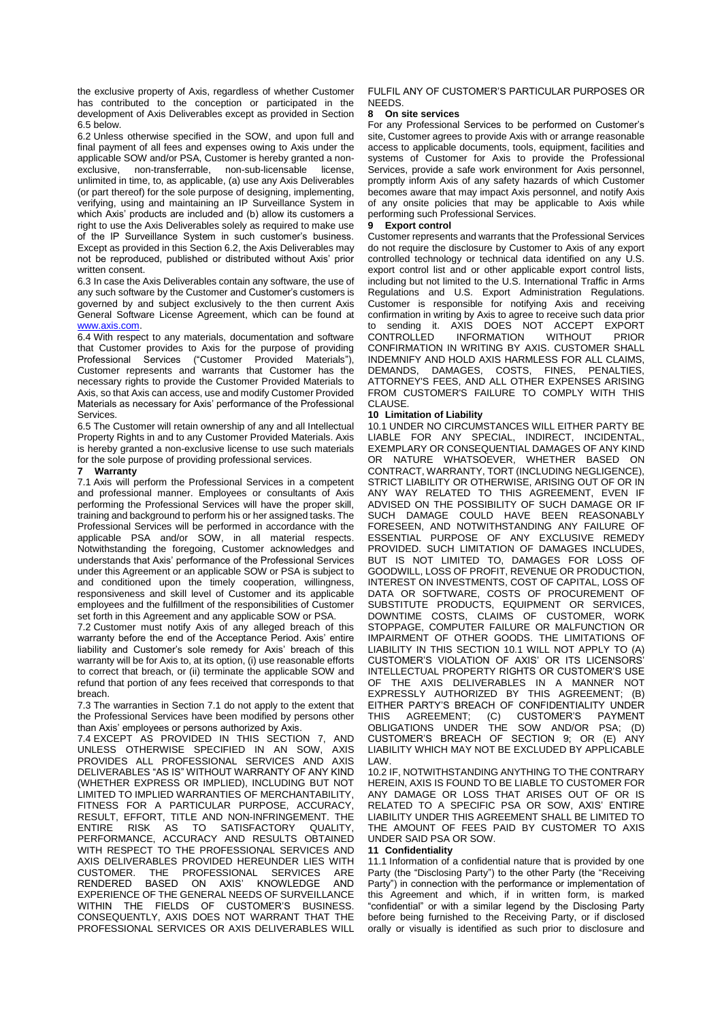the exclusive property of Axis, regardless of whether Customer has contributed to the conception or participated in the development of Axis Deliverables except as provided in Section [6.5](#page-1-0) below.

<span id="page-1-1"></span>6.2 Unless otherwise specified in the SOW, and upon full and final payment of all fees and expenses owing to Axis under the applicable SOW and/or PSA, Customer is hereby granted a nonexclusive, non-transferrable, non-sub-licensable license, unlimited in time, to, as applicable, (a) use any Axis Deliverables (or part thereof) for the sole purpose of designing, implementing, verifying, using and maintaining an IP Surveillance System in which Axis' products are included and (b) allow its customers a right to use the Axis Deliverables solely as required to make use of the IP Surveillance System in such customer's business. Except as provided in this Sectio[n 6.2,](#page-1-1) the Axis Deliverables may not be reproduced, published or distributed without Axis' prior written consent.

6.3 In case the Axis Deliverables contain any software, the use of any such software by the Customer and Customer's customers is governed by and subject exclusively to the then current Axis General Software License Agreement, which can be found at [www.axis.com.](http://www.axis.com/)

6.4 With respect to any materials, documentation and software that Customer provides to Axis for the purpose of providing Professional Services ("Customer Provided Materials"), Customer represents and warrants that Customer has the necessary rights to provide the Customer Provided Materials to Axis, so that Axis can access, use and modify Customer Provided Materials as necessary for Axis' performance of the Professional Services.

<span id="page-1-0"></span>6.5 The Customer will retain ownership of any and all Intellectual Property Rights in and to any Customer Provided Materials. Axis is hereby granted a non-exclusive license to use such materials for the sole purpose of providing professional services.

### <span id="page-1-3"></span>**7 Warranty**

<span id="page-1-2"></span>7.1 Axis will perform the Professional Services in a competent and professional manner. Employees or consultants of Axis performing the Professional Services will have the proper skill, training and background to perform his or her assigned tasks. The Professional Services will be performed in accordance with the applicable PSA and/or SOW, in all material respects. Notwithstanding the foregoing, Customer acknowledges and understands that Axis' performance of the Professional Services under this Agreement or an applicable SOW or PSA is subject to and conditioned upon the timely cooperation, willingness, responsiveness and skill level of Customer and its applicable employees and the fulfillment of the responsibilities of Customer set forth in this Agreement and any applicable SOW or PSA.

7.2 Customer must notify Axis of any alleged breach of this warranty before the end of the Acceptance Period. Axis' entire liability and Customer's sole remedy for Axis' breach of this warranty will be for Axis to, at its option, (i) use reasonable efforts to correct that breach, or (ii) terminate the applicable SOW and refund that portion of any fees received that corresponds to that breach.

7.3 The warranties in Section [7.1](#page-1-2) do not apply to the extent that the Professional Services have been modified by persons other than Axis' employees or persons authorized by Axis.

<span id="page-1-5"></span>7.4 EXCEPT AS PROVIDED IN THIS SECTION [7,](#page-1-3) AND UNLESS OTHERWISE SPECIFIED IN AN SOW, AXIS PROVIDES ALL PROFESSIONAL SERVICES AND AXIS DELIVERABLES "AS IS" WITHOUT WARRANTY OF ANY KIND (WHETHER EXPRESS OR IMPLIED), INCLUDING BUT NOT LIMITED TO IMPLIED WARRANTIES OF MERCHANTABILITY, FITNESS FOR A PARTICULAR PURPOSE, ACCURACY, RESULT, EFFORT, TITLE AND NON-INFRINGEMENT. THE ENTIRE RISK AS TO SATISFACTORY QUALITY, PERFORMANCE, ACCURACY AND RESULTS OBTAINED WITH RESPECT TO THE PROFESSIONAL SERVICES AND AXIS DELIVERABLES PROVIDED HEREUNDER LIES WITH CLISTOMER. THE PROFESSIONAL SERVICES ARE THE PROFESSIONAL SERVICES ARE RENDERED BASED ON AXIS' KNOWLEDGE AND EXPERIENCE OF THE GENERAL NEEDS OF SURVEILLANCE WITHIN THE FIELDS OF CUSTOMER'S BUSINESS. CONSEQUENTLY, AXIS DOES NOT WARRANT THAT THE PROFESSIONAL SERVICES OR AXIS DELIVERABLES WILL

## FULFIL ANY OF CUSTOMER'S PARTICULAR PURPOSES OR **NEEDS**

#### **8 On site services**

For any Professional Services to be performed on Customer's site, Customer agrees to provide Axis with or arrange reasonable access to applicable documents, tools, equipment, facilities and systems of Customer for Axis to provide the Professional Services, provide a safe work environment for Axis personnel, promptly inform Axis of any safety hazards of which Customer becomes aware that may impact Axis personnel, and notify Axis of any onsite policies that may be applicable to Axis while performing such Professional Services.

# <span id="page-1-6"></span>**9 Export control**

Customer represents and warrants that the Professional Services do not require the disclosure by Customer to Axis of any export controlled technology or technical data identified on any U.S. export control list and or other applicable export control lists, including but not limited to the U.S. International Traffic in Arms Regulations and U.S. Export Administration Regulations. Customer is responsible for notifying Axis and receiving confirmation in writing by Axis to agree to receive such data prior to sending it. AXIS DOES NOT ACCEPT EXPORT CONTROLLED INFORMATION WITHOUT PRIOR CONFIRMATION IN WRITING BY AXIS. CUSTOMER SHALL INDEMNIFY AND HOLD AXIS HARMLESS FOR ALL CLAIMS, DEMANDS, DAMAGES, COSTS, FINES, PENALTIES, ATTORNEY'S FEES, AND ALL OTHER EXPENSES ARISING FROM CUSTOMER'S FAILURE TO COMPLY WITH THIS CLAUSE.

# <span id="page-1-7"></span>**10 Limitation of Liability**

10.1 UNDER NO CIRCUMSTANCES WILL EITHER PARTY BE LIABLE FOR ANY SPECIAL, INDIRECT, INCIDENTAL, EXEMPLARY OR CONSEQUENTIAL DAMAGES OF ANY KIND OR NATURE WHATSOEVER, WHETHER BASED ON CONTRACT, WARRANTY, TORT (INCLUDING NEGLIGENCE), STRICT LIABILITY OR OTHERWISE, ARISING OUT OF OR IN ANY WAY RELATED TO THIS AGREEMENT, EVEN IF ADVISED ON THE POSSIBILITY OF SUCH DAMAGE OR IF SUCH DAMAGE COULD HAVE BEEN REASONABLY FORESEEN, AND NOTWITHSTANDING ANY FAILURE OF ESSENTIAL PURPOSE OF ANY EXCLUSIVE REMEDY PROVIDED. SUCH LIMITATION OF DAMAGES INCLUDES, BUT IS NOT LIMITED TO, DAMAGES FOR LOSS OF GOODWILL, LOSS OF PROFIT, REVENUE OR PRODUCTION, INTEREST ON INVESTMENTS, COST OF CAPITAL, LOSS OF DATA OR SOFTWARE, COSTS OF PROCUREMENT OF SUBSTITUTE PRODUCTS, EQUIPMENT OR SERVICES, DOWNTIME COSTS, CLAIMS OF CUSTOMER, WORK STOPPAGE, COMPUTER FAILURE OR MALFUNCTION OR IMPAIRMENT OF OTHER GOODS. THE LIMITATIONS OF LIABILITY IN THIS SECTION 10.1 WILL NOT APPLY TO (A) CUSTOMER'S VIOLATION OF AXIS' OR ITS LICENSORS' INTELLECTUAL PROPERTY RIGHTS OR CUSTOMER'S USE OF THE AXIS DELIVERABLES IN A MANNER NOT EXPRESSLY AUTHORIZED BY THIS AGREEMENT; (B) EITHER PARTY'S BREACH OF CONFIDENTIALITY UNDER THIS AGREEMENT; (C) CUSTOMER'S PAYMENT OBLIGATIONS UNDER THE SOW AND/OR PSA; (D) CUSTOMER'S BREACH OF SECTION 9; OR (E) ANY LIABILITY WHICH MAY NOT BE EXCLUDED BY APPLICABLE LAW.

10.2 IF, NOTWITHSTANDING ANYTHING TO THE CONTRARY HEREIN, AXIS IS FOUND TO BE LIABLE TO CUSTOMER FOR ANY DAMAGE OR LOSS THAT ARISES OUT OF OR IS RELATED TO A SPECIFIC PSA OR SOW, AXIS' ENTIRE LIABILITY UNDER THIS AGREEMENT SHALL BE LIMITED TO THE AMOUNT OF FEES PAID BY CUSTOMER TO AXIS UNDER SAID PSA OR SOW.

# <span id="page-1-4"></span>**11 Confidentiality**

11.1 Information of a confidential nature that is provided by one Party (the "Disclosing Party") to the other Party (the "Receiving Party") in connection with the performance or implementation of this Agreement and which, if in written form, is marked "confidential" or with a similar legend by the Disclosing Party before being furnished to the Receiving Party, or if disclosed orally or visually is identified as such prior to disclosure and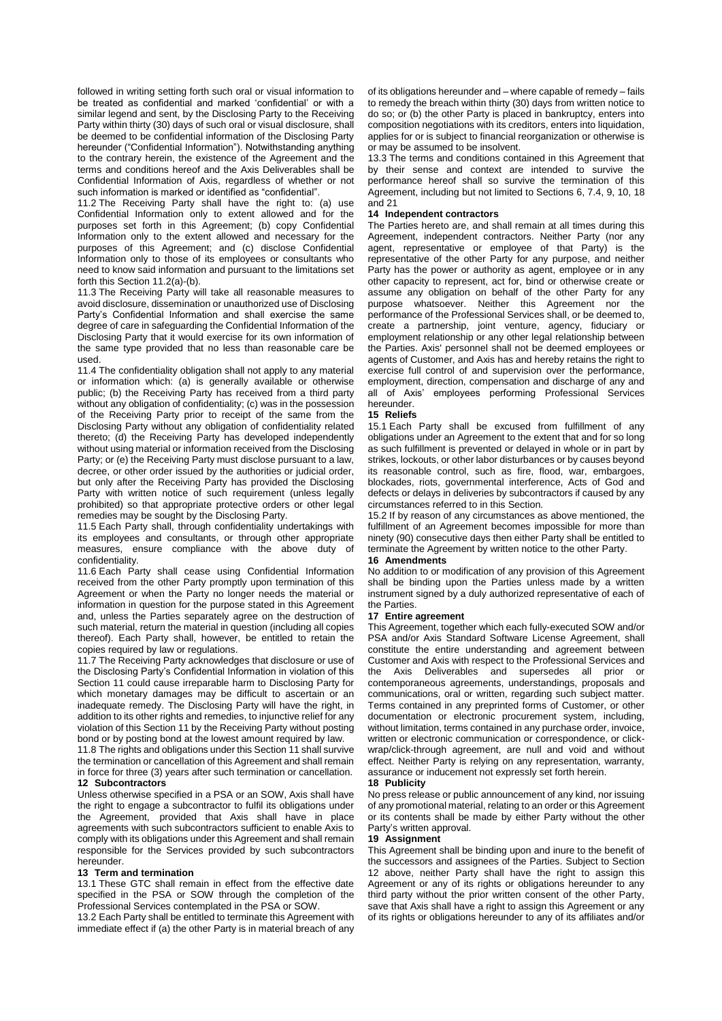followed in writing setting forth such oral or visual information to be treated as confidential and marked 'confidential' or with a similar legend and sent, by the Disclosing Party to the Receiving Party within thirty (30) days of such oral or visual disclosure, shall be deemed to be confidential information of the Disclosing Party hereunder ("Confidential Information"). Notwithstanding anything to the contrary herein, the existence of the Agreement and the terms and conditions hereof and the Axis Deliverables shall be Confidential Information of Axis, regardless of whether or not such information is marked or identified as "confidential".

<span id="page-2-0"></span>11.2 The Receiving Party shall have the right to: (a) use Confidential Information only to extent allowed and for the purposes set forth in this Agreement; (b) copy Confidential Information only to the extent allowed and necessary for the purposes of this Agreement; and (c) disclose Confidential Information only to those of its employees or consultants who need to know said information and pursuant to the limitations set forth this Sectio[n 11.2\(](#page-2-0)a)-(b).

11.3 The Receiving Party will take all reasonable measures to avoid disclosure, dissemination or unauthorized use of Disclosing Party's Confidential Information and shall exercise the same degree of care in safeguarding the Confidential Information of the Disclosing Party that it would exercise for its own information of the same type provided that no less than reasonable care be used.

11.4 The confidentiality obligation shall not apply to any material or information which: (a) is generally available or otherwise public; (b) the Receiving Party has received from a third party without any obligation of confidentiality; (c) was in the possession of the Receiving Party prior to receipt of the same from the Disclosing Party without any obligation of confidentiality related thereto; (d) the Receiving Party has developed independently without using material or information received from the Disclosing Party; or (e) the Receiving Party must disclose pursuant to a law, decree, or other order issued by the authorities or judicial order, but only after the Receiving Party has provided the Disclosing Party with written notice of such requirement (unless legally prohibited) so that appropriate protective orders or other legal remedies may be sought by the Disclosing Party.

11.5 Each Party shall, through confidentiality undertakings with its employees and consultants, or through other appropriate measures, ensure compliance with the above duty of confidentiality.

11.6 Each Party shall cease using Confidential Information received from the other Party promptly upon termination of this Agreement or when the Party no longer needs the material or information in question for the purpose stated in this Agreement and, unless the Parties separately agree on the destruction of such material, return the material in question (including all copies thereof). Each Party shall, however, be entitled to retain the copies required by law or regulations.

11.7 The Receiving Party acknowledges that disclosure or use of the Disclosing Party's Confidential Information in violation of this Section [11](#page-1-4) could cause irreparable harm to Disclosing Party for which monetary damages may be difficult to ascertain or an inadequate remedy. The Disclosing Party will have the right, in addition to its other rights and remedies, to injunctive relief for any violation of this Sectio[n 11](#page-1-4) by the Receiving Party without posting bond or by posting bond at the lowest amount required by law.

11.8 The rights and obligations under this Sectio[n 11](#page-1-4) shall survive the termination or cancellation of this Agreement and shall remain in force for three (3) years after such termination or cancellation. **12 Subcontractors**

<span id="page-2-2"></span>Unless otherwise specified in a PSA or an SOW, Axis shall have the right to engage a subcontractor to fulfil its obligations under the Agreement, provided that Axis shall have in place agreements with such subcontractors sufficient to enable Axis to comply with its obligations under this Agreement and shall remain responsible for the Services provided by such subcontractors hereunder.

#### **13 Term and termination**

13.1 These GTC shall remain in effect from the effective date specified in the PSA or SOW through the completion of the Professional Services contemplated in the PSA or SOW.

13.2 Each Party shall be entitled to terminate this Agreement with immediate effect if (a) the other Party is in material breach of any of its obligations hereunder and – where capable of remedy – fails to remedy the breach within thirty (30) days from written notice to do so; or (b) the other Party is placed in bankruptcy, enters into composition negotiations with its creditors, enters into liquidation, applies for or is subject to financial reorganization or otherwise is or may be assumed to be insolvent.

13.3 The terms and conditions contained in this Agreement that by their sense and context are intended to survive the performance hereof shall so survive the termination of this Agreement, including but not limited to Section[s 6,](#page-0-1) [7.4,](#page-1-5) [9,](#page-1-6) [10,](#page-1-7) [18](#page-2-1) and [21](#page-3-0)

#### **14 Independent contractors**

The Parties hereto are, and shall remain at all times during this Agreement, independent contractors. Neither Party (nor any agent, representative or employee of that Party) is the representative of the other Party for any purpose, and neither Party has the power or authority as agent, employee or in any other capacity to represent, act for, bind or otherwise create or assume any obligation on behalf of the other Party for any purpose whatsoever. Neither this Agreement nor the performance of the Professional Services shall, or be deemed to, create a partnership, joint venture, agency, fiduciary or employment relationship or any other legal relationship between the Parties. Axis' personnel shall not be deemed employees or agents of Customer, and Axis has and hereby retains the right to exercise full control of and supervision over the performance, employment, direction, compensation and discharge of any and all of Axis' employees performing Professional Services hereunder.

#### **15 Reliefs**

15.1 Each Party shall be excused from fulfillment of any obligations under an Agreement to the extent that and for so long as such fulfillment is prevented or delayed in whole or in part by strikes, lockouts, or other labor disturbances or by causes beyond its reasonable control, such as fire, flood, war, embargoes, blockades, riots, governmental interference, Acts of God and defects or delays in deliveries by subcontractors if caused by any circumstances referred to in this Section.

15.2 If by reason of any circumstances as above mentioned, the fulfillment of an Agreement becomes impossible for more than ninety (90) consecutive days then either Party shall be entitled to terminate the Agreement by written notice to the other Party.

#### **16 Amendments**

No addition to or modification of any provision of this Agreement shall be binding upon the Parties unless made by a written instrument signed by a duly authorized representative of each of the Parties.

### **17 Entire agreement**

This Agreement, together which each fully-executed SOW and/or PSA and/or Axis Standard Software License Agreement, shall constitute the entire understanding and agreement between Customer and Axis with respect to the Professional Services and the Axis Deliverables and supersedes all prior or contemporaneous agreements, understandings, proposals and communications, oral or written, regarding such subject matter. Terms contained in any preprinted forms of Customer, or other documentation or electronic procurement system, including, without limitation, terms contained in any purchase order, invoice, written or electronic communication or correspondence, or clickwrap/click-through agreement, are null and void and without effect. Neither Party is relying on any representation, warranty, assurance or inducement not expressly set forth herein.

#### <span id="page-2-1"></span>**18 Publicity**

No press release or public announcement of any kind, nor issuing of any promotional material, relating to an order or this Agreement or its contents shall be made by either Party without the other Party's written approval.

# **19 Assignment**

This Agreement shall be binding upon and inure to the benefit of the successors and assignees of the Parties. Subject to Section [12](#page-2-2) above, neither Party shall have the right to assign this Agreement or any of its rights or obligations hereunder to any third party without the prior written consent of the other Party, save that Axis shall have a right to assign this Agreement or any of its rights or obligations hereunder to any of its affiliates and/or